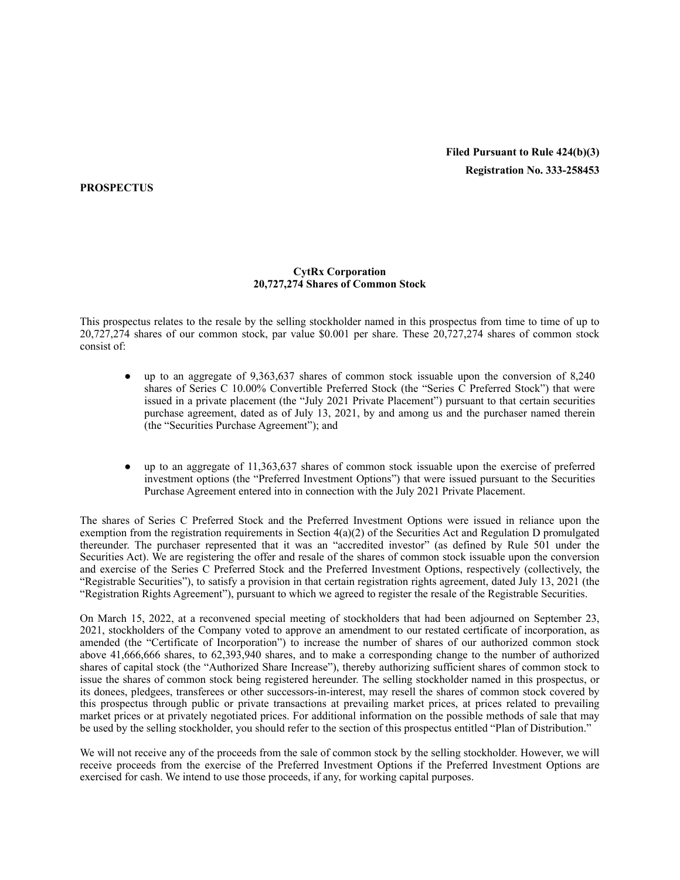# **Filed Pursuant to Rule 424(b)(3) Registration No. 333-258453**

**PROSPECTUS**

# **CytRx Corporation 20,727,274 Shares of Common Stock**

This prospectus relates to the resale by the selling stockholder named in this prospectus from time to time of up to 20,727,274 shares of our common stock, par value \$0.001 per share. These 20,727,274 shares of common stock consist of:

- up to an aggregate of  $9,363,637$  shares of common stock issuable upon the conversion of  $8,240$ shares of Series C 10.00% Convertible Preferred Stock (the "Series C Preferred Stock") that were issued in a private placement (the "July 2021 Private Placement") pursuant to that certain securities purchase agreement, dated as of July 13, 2021, by and among us and the purchaser named therein (the "Securities Purchase Agreement"); and
- up to an aggregate of  $11.363.637$  shares of common stock issuable upon the exercise of preferred investment options (the "Preferred Investment Options") that were issued pursuant to the Securities Purchase Agreement entered into in connection with the July 2021 Private Placement.

The shares of Series C Preferred Stock and the Preferred Investment Options were issued in reliance upon the exemption from the registration requirements in Section  $4(a)(2)$  of the Securities Act and Regulation D promulgated thereunder. The purchaser represented that it was an "accredited investor" (as defined by Rule 501 under the Securities Act). We are registering the offer and resale of the shares of common stock issuable upon the conversion and exercise of the Series C Preferred Stock and the Preferred Investment Options, respectively (collectively, the "Registrable Securities"), to satisfy a provision in that certain registration rights agreement, dated July 13, 2021 (the "Registration Rights Agreement"), pursuant to which we agreed to register the resale of the Registrable Securities.

On March 15, 2022, at a reconvened special meeting of stockholders that had been adjourned on September 23, 2021, stockholders of the Company voted to approve an amendment to our restated certificate of incorporation, as amended (the "Certificate of Incorporation") to increase the number of shares of our authorized common stock above 41,666,666 shares, to 62,393,940 shares, and to make a corresponding change to the number of authorized shares of capital stock (the "Authorized Share Increase"), thereby authorizing sufficient shares of common stock to issue the shares of common stock being registered hereunder. The selling stockholder named in this prospectus, or its donees, pledgees, transferees or other successors-in-interest, may resell the shares of common stock covered by this prospectus through public or private transactions at prevailing market prices, at prices related to prevailing market prices or at privately negotiated prices. For additional information on the possible methods of sale that may be used by the selling stockholder, you should refer to the section of this prospectus entitled "Plan of Distribution."

We will not receive any of the proceeds from the sale of common stock by the selling stockholder. However, we will receive proceeds from the exercise of the Preferred Investment Options if the Preferred Investment Options are exercised for cash. We intend to use those proceeds, if any, for working capital purposes.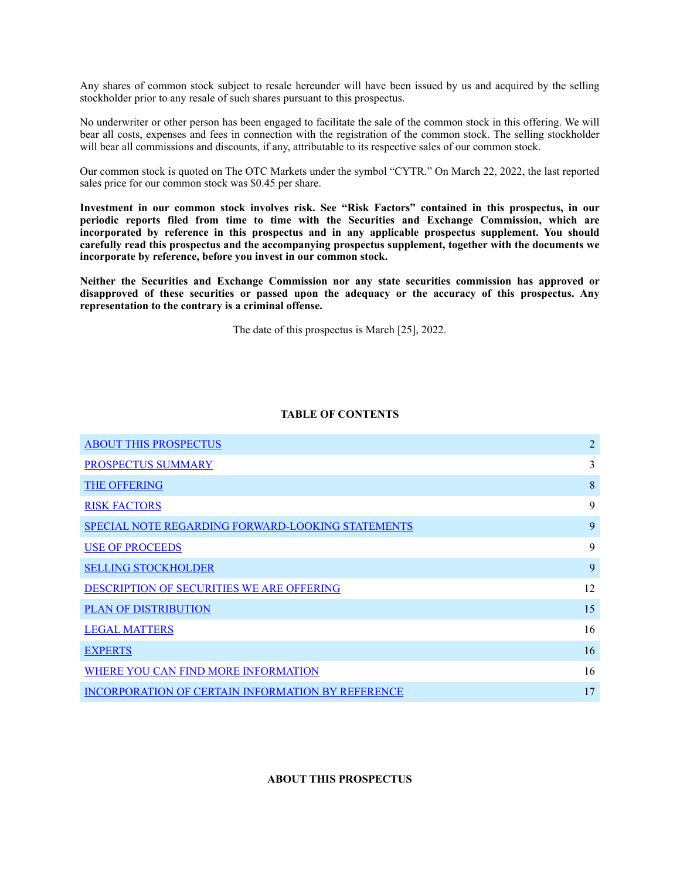Any shares of common stock subject to resale hereunder will have been issued by us and acquired by the selling stockholder prior to any resale of such shares pursuant to this prospectus.

No underwriter or other person has been engaged to facilitate the sale of the common stock in this offering. We will bear all costs, expenses and fees in connection with the registration of the common stock. The selling stockholder will bear all commissions and discounts, if any, attributable to its respective sales of our common stock.

Our common stock is quoted on The OTC Markets under the symbol "CYTR." On March 22, 2022, the last reported sales price for our common stock was \$0.45 per share.

**Investment in our common stock involves risk. See "Risk Factors" contained in this prospectus, in our periodic reports filed from time to time with the Securities and Exchange Commission, which are incorporated by reference in this prospectus and in any applicable prospectus supplement. You should carefully read this prospectus and the accompanying prospectus supplement, together with the documents we incorporate by reference, before you invest in our common stock.**

**Neither the Securities and Exchange Commission nor any state securities commission has approved or disapproved of these securities or passed upon the adequacy or the accuracy of this prospectus. Any representation to the contrary is a criminal offense.**

The date of this prospectus is March [25], 2022.

# **TABLE OF CONTENTS**

| <b>ABOUT THIS PROSPECTUS</b>                             | $\overline{2}$ |
|----------------------------------------------------------|----------------|
| PROSPECTUS SUMMARY                                       | 3              |
| <b>THE OFFERING</b>                                      | 8              |
| <b>RISK FACTORS</b>                                      | 9              |
| <b>SPECIAL NOTE REGARDING FORWARD-LOOKING STATEMENTS</b> | 9              |
| <b>USE OF PROCEEDS</b>                                   | 9              |
| <b>SELLING STOCKHOLDER</b>                               | 9              |
| DESCRIPTION OF SECURITIES WE ARE OFFERING                | 12             |
| <b>PLAN OF DISTRIBUTION</b>                              | 15             |
| <b>LEGAL MATTERS</b>                                     | 16             |
| <b>EXPERTS</b>                                           | 16             |
| WHERE YOU CAN FIND MORE INFORMATION                      | 16             |
| <b>INCORPORATION OF CERTAIN INFORMATION BY REFERENCE</b> | 17             |

# <span id="page-1-0"></span>**ABOUT THIS PROSPECTUS**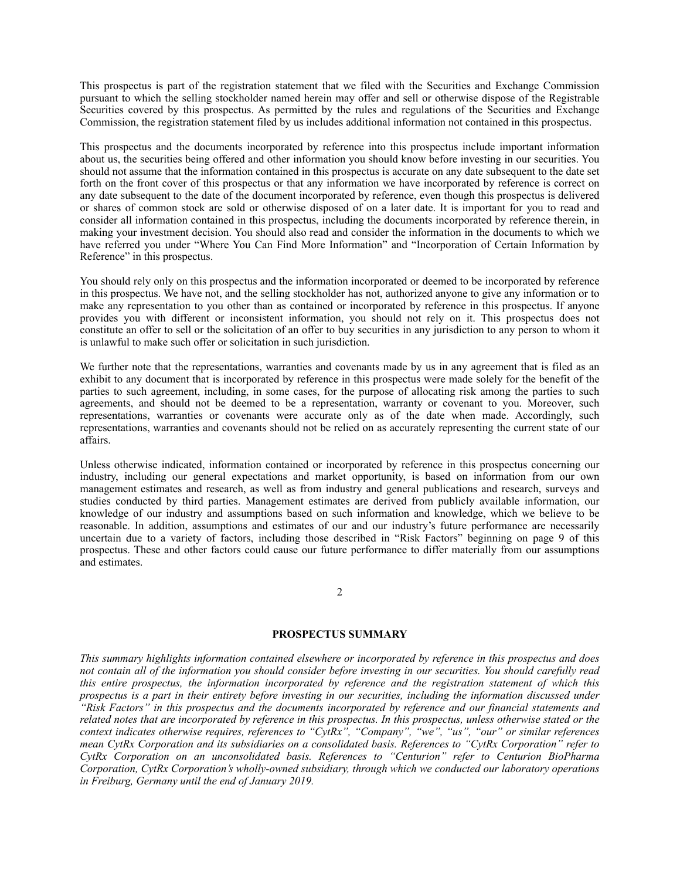This prospectus is part of the registration statement that we filed with the Securities and Exchange Commission pursuant to which the selling stockholder named herein may offer and sell or otherwise dispose of the Registrable Securities covered by this prospectus. As permitted by the rules and regulations of the Securities and Exchange Commission, the registration statement filed by us includes additional information not contained in this prospectus.

This prospectus and the documents incorporated by reference into this prospectus include important information about us, the securities being offered and other information you should know before investing in our securities. You should not assume that the information contained in this prospectus is accurate on any date subsequent to the date set forth on the front cover of this prospectus or that any information we have incorporated by reference is correct on any date subsequent to the date of the document incorporated by reference, even though this prospectus is delivered or shares of common stock are sold or otherwise disposed of on a later date. It is important for you to read and consider all information contained in this prospectus, including the documents incorporated by reference therein, in making your investment decision. You should also read and consider the information in the documents to which we have referred you under "Where You Can Find More Information" and "Incorporation of Certain Information by Reference" in this prospectus.

You should rely only on this prospectus and the information incorporated or deemed to be incorporated by reference in this prospectus. We have not, and the selling stockholder has not, authorized anyone to give any information or to make any representation to you other than as contained or incorporated by reference in this prospectus. If anyone provides you with different or inconsistent information, you should not rely on it. This prospectus does not constitute an offer to sell or the solicitation of an offer to buy securities in any jurisdiction to any person to whom it is unlawful to make such offer or solicitation in such jurisdiction.

We further note that the representations, warranties and covenants made by us in any agreement that is filed as an exhibit to any document that is incorporated by reference in this prospectus were made solely for the benefit of the parties to such agreement, including, in some cases, for the purpose of allocating risk among the parties to such agreements, and should not be deemed to be a representation, warranty or covenant to you. Moreover, such representations, warranties or covenants were accurate only as of the date when made. Accordingly, such representations, warranties and covenants should not be relied on as accurately representing the current state of our affairs.

Unless otherwise indicated, information contained or incorporated by reference in this prospectus concerning our industry, including our general expectations and market opportunity, is based on information from our own management estimates and research, as well as from industry and general publications and research, surveys and studies conducted by third parties. Management estimates are derived from publicly available information, our knowledge of our industry and assumptions based on such information and knowledge, which we believe to be reasonable. In addition, assumptions and estimates of our and our industry's future performance are necessarily uncertain due to a variety of factors, including those described in "Risk Factors" beginning on page 9 of this prospectus. These and other factors could cause our future performance to differ materially from our assumptions and estimates.

#### 2

#### <span id="page-2-0"></span>**PROSPECTUS SUMMARY**

*This summary highlights information contained elsewhere or incorporated by reference in this prospectus and does not contain all of the information you should consider before investing in our securities. You should carefully read this entire prospectus, the information incorporated by reference and the registration statement of which this prospectus is a part in their entirety before investing in our securities, including the information discussed under "Risk Factors" in this prospectus and the documents incorporated by reference and our financial statements and related notes that are incorporated by reference in this prospectus. In this prospectus, unless otherwise stated or the context indicates otherwise requires, references to "CytRx", "Company", "we", "us", "our" or similar references mean CytRx Corporation and its subsidiaries on a consolidated basis. References to "CytRx Corporation" refer to CytRx Corporation on an unconsolidated basis. References to "Centurion" refer to Centurion BioPharma Corporation, CytRx Corporation's wholly-owned subsidiary, through which we conducted our laboratory operations in Freiburg, Germany until the end of January 2019.*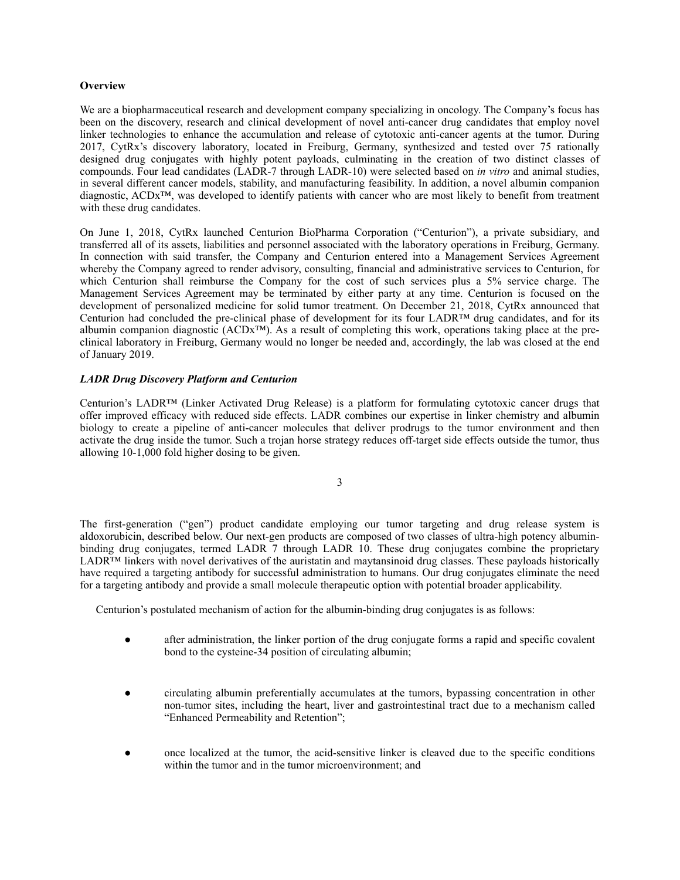# **Overview**

We are a biopharmaceutical research and development company specializing in oncology. The Company's focus has been on the discovery, research and clinical development of novel anti-cancer drug candidates that employ novel linker technologies to enhance the accumulation and release of cytotoxic anti-cancer agents at the tumor. During 2017, CytRx's discovery laboratory, located in Freiburg, Germany, synthesized and tested over 75 rationally designed drug conjugates with highly potent payloads, culminating in the creation of two distinct classes of compounds. Four lead candidates (LADR-7 through LADR-10) were selected based on *in vitro* and animal studies, in several different cancer models, stability, and manufacturing feasibility. In addition, a novel albumin companion diagnostic, ACDx™, was developed to identify patients with cancer who are most likely to benefit from treatment with these drug candidates.

On June 1, 2018, CytRx launched Centurion BioPharma Corporation ("Centurion"), a private subsidiary, and transferred all of its assets, liabilities and personnel associated with the laboratory operations in Freiburg, Germany. In connection with said transfer, the Company and Centurion entered into a Management Services Agreement whereby the Company agreed to render advisory, consulting, financial and administrative services to Centurion, for which Centurion shall reimburse the Company for the cost of such services plus a 5% service charge. The Management Services Agreement may be terminated by either party at any time. Centurion is focused on the development of personalized medicine for solid tumor treatment. On December 21, 2018, CytRx announced that Centurion had concluded the pre-clinical phase of development for its four LADR™ drug candidates, and for its albumin companion diagnostic (ACDx™). As a result of completing this work, operations taking place at the preclinical laboratory in Freiburg, Germany would no longer be needed and, accordingly, the lab was closed at the end of January 2019.

# *LADR Drug Discovery Platform and Centurion*

Centurion's LADR™ (Linker Activated Drug Release) is a platform for formulating cytotoxic cancer drugs that offer improved efficacy with reduced side effects. LADR combines our expertise in linker chemistry and albumin biology to create a pipeline of anti-cancer molecules that deliver prodrugs to the tumor environment and then activate the drug inside the tumor. Such a trojan horse strategy reduces off-target side effects outside the tumor, thus allowing 10-1,000 fold higher dosing to be given.

3

The first-generation ("gen") product candidate employing our tumor targeting and drug release system is aldoxorubicin, described below. Our next-gen products are composed of two classes of ultra-high potency albuminbinding drug conjugates, termed LADR 7 through LADR 10. These drug conjugates combine the proprietary LADR™ linkers with novel derivatives of the auristatin and maytansinoid drug classes. These payloads historically have required a targeting antibody for successful administration to humans. Our drug conjugates eliminate the need for a targeting antibody and provide a small molecule therapeutic option with potential broader applicability.

Centurion's postulated mechanism of action for the albumin-binding drug conjugates is as follows:

- after administration, the linker portion of the drug conjugate forms a rapid and specific covalent bond to the cysteine-34 position of circulating albumin;
- circulating albumin preferentially accumulates at the tumors, bypassing concentration in other non-tumor sites, including the heart, liver and gastrointestinal tract due to a mechanism called "Enhanced Permeability and Retention";
- once localized at the tumor, the acid-sensitive linker is cleaved due to the specific conditions within the tumor and in the tumor microenvironment; and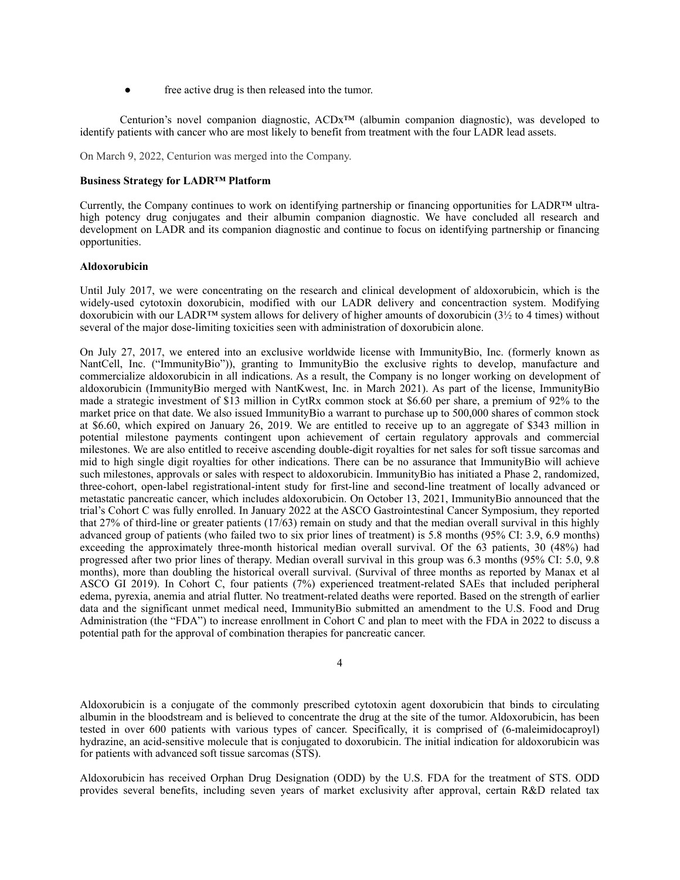free active drug is then released into the tumor.

Centurion's novel companion diagnostic,  $ACDx^{TM}$  (albumin companion diagnostic), was developed to identify patients with cancer who are most likely to benefit from treatment with the four LADR lead assets.

On March 9, 2022, Centurion was merged into the Company.

# **Business Strategy for LADR™ Platform**

Currently, the Company continues to work on identifying partnership or financing opportunities for LADR™ ultrahigh potency drug conjugates and their albumin companion diagnostic. We have concluded all research and development on LADR and its companion diagnostic and continue to focus on identifying partnership or financing opportunities.

#### **Aldoxorubicin**

Until July 2017, we were concentrating on the research and clinical development of aldoxorubicin, which is the widely-used cytotoxin doxorubicin, modified with our LADR delivery and concentraction system. Modifying doxorubicin with our LADR™ system allows for delivery of higher amounts of doxorubicin (3½ to 4 times) without several of the major dose-limiting toxicities seen with administration of doxorubicin alone.

On July 27, 2017, we entered into an exclusive worldwide license with ImmunityBio, Inc. (formerly known as NantCell, Inc. ("ImmunityBio")), granting to ImmunityBio the exclusive rights to develop, manufacture and commercialize aldoxorubicin in all indications. As a result, the Company is no longer working on development of aldoxorubicin (ImmunityBio merged with NantKwest, Inc. in March 2021). As part of the license, ImmunityBio made a strategic investment of \$13 million in CytRx common stock at \$6.60 per share, a premium of 92% to the market price on that date. We also issued ImmunityBio a warrant to purchase up to 500,000 shares of common stock at \$6.60, which expired on January 26, 2019. We are entitled to receive up to an aggregate of \$343 million in potential milestone payments contingent upon achievement of certain regulatory approvals and commercial milestones. We are also entitled to receive ascending double-digit royalties for net sales for soft tissue sarcomas and mid to high single digit royalties for other indications. There can be no assurance that ImmunityBio will achieve such milestones, approvals or sales with respect to aldoxorubicin. ImmunityBio has initiated a Phase 2, randomized, three-cohort, open-label registrational-intent study for first-line and second-line treatment of locally advanced or metastatic pancreatic cancer, which includes aldoxorubicin. On October 13, 2021, ImmunityBio announced that the trial's Cohort C was fully enrolled. In January 2022 at the ASCO Gastrointestinal Cancer Symposium, they reported that 27% of third-line or greater patients (17/63) remain on study and that the median overall survival in this highly advanced group of patients (who failed two to six prior lines of treatment) is 5.8 months (95% CI: 3.9, 6.9 months) exceeding the approximately three-month historical median overall survival. Of the 63 patients, 30 (48%) had progressed after two prior lines of therapy. Median overall survival in this group was 6.3 months (95% CI: 5.0, 9.8 months), more than doubling the historical overall survival. (Survival of three months as reported by Manax et al ASCO GI 2019). In Cohort C, four patients (7%) experienced treatment-related SAEs that included peripheral edema, pyrexia, anemia and atrial flutter. No treatment-related deaths were reported. Based on the strength of earlier data and the significant unmet medical need, ImmunityBio submitted an amendment to the U.S. Food and Drug Administration (the "FDA") to increase enrollment in Cohort C and plan to meet with the FDA in 2022 to discuss a potential path for the approval of combination therapies for pancreatic cancer.

4

Aldoxorubicin is a conjugate of the commonly prescribed cytotoxin agent doxorubicin that binds to circulating albumin in the bloodstream and is believed to concentrate the drug at the site of the tumor. Aldoxorubicin, has been tested in over 600 patients with various types of cancer. Specifically, it is comprised of (6-maleimidocaproyl) hydrazine, an acid-sensitive molecule that is conjugated to doxorubicin. The initial indication for aldoxorubicin was for patients with advanced soft tissue sarcomas (STS).

Aldoxorubicin has received Orphan Drug Designation (ODD) by the U.S. FDA for the treatment of STS. ODD provides several benefits, including seven years of market exclusivity after approval, certain R&D related tax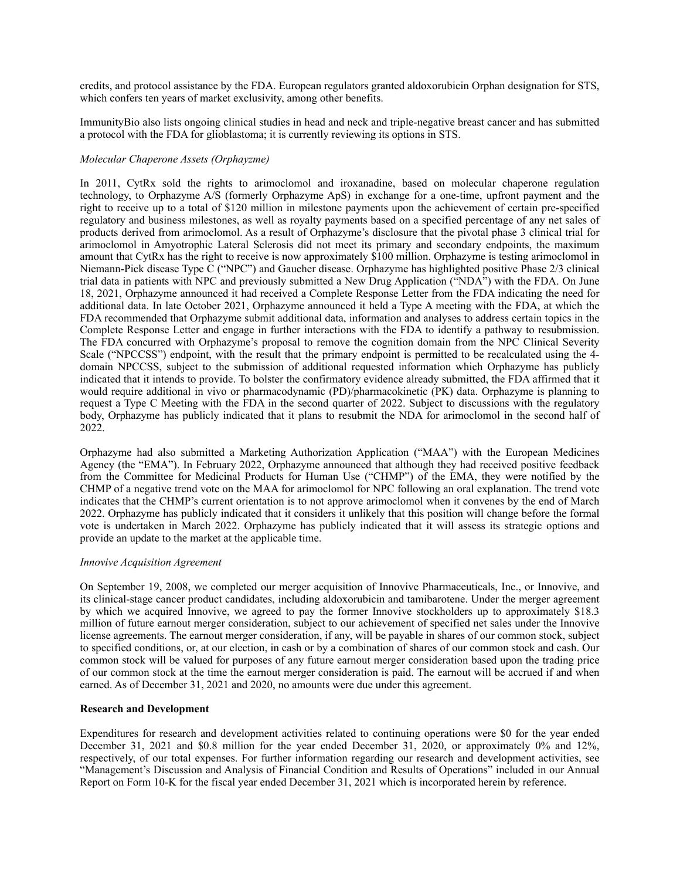credits, and protocol assistance by the FDA. European regulators granted aldoxorubicin Orphan designation for STS, which confers ten years of market exclusivity, among other benefits.

ImmunityBio also lists ongoing clinical studies in head and neck and triple-negative breast cancer and has submitted a protocol with the FDA for glioblastoma; it is currently reviewing its options in STS.

# *Molecular Chaperone Assets (Orphayzme)*

In 2011, CytRx sold the rights to arimoclomol and iroxanadine, based on molecular chaperone regulation technology, to Orphazyme A/S (formerly Orphazyme ApS) in exchange for a one-time, upfront payment and the right to receive up to a total of \$120 million in milestone payments upon the achievement of certain pre-specified regulatory and business milestones, as well as royalty payments based on a specified percentage of any net sales of products derived from arimoclomol. As a result of Orphazyme's disclosure that the pivotal phase 3 clinical trial for arimoclomol in Amyotrophic Lateral Sclerosis did not meet its primary and secondary endpoints, the maximum amount that CytRx has the right to receive is now approximately \$100 million. Orphazyme is testing arimoclomol in Niemann-Pick disease Type C ("NPC") and Gaucher disease. Orphazyme has highlighted positive Phase 2/3 clinical trial data in patients with NPC and previously submitted a New Drug Application ("NDA") with the FDA. On June 18, 2021, Orphazyme announced it had received a Complete Response Letter from the FDA indicating the need for additional data. In late October 2021, Orphazyme announced it held a Type A meeting with the FDA, at which the FDA recommended that Orphazyme submit additional data, information and analyses to address certain topics in the Complete Response Letter and engage in further interactions with the FDA to identify a pathway to resubmission. The FDA concurred with Orphazyme's proposal to remove the cognition domain from the NPC Clinical Severity Scale ("NPCCSS") endpoint, with the result that the primary endpoint is permitted to be recalculated using the 4 domain NPCCSS, subject to the submission of additional requested information which Orphazyme has publicly indicated that it intends to provide. To bolster the confirmatory evidence already submitted, the FDA affirmed that it would require additional in vivo or pharmacodynamic (PD)/pharmacokinetic (PK) data. Orphazyme is planning to request a Type C Meeting with the FDA in the second quarter of 2022. Subject to discussions with the regulatory body, Orphazyme has publicly indicated that it plans to resubmit the NDA for arimoclomol in the second half of 2022.

Orphazyme had also submitted a Marketing Authorization Application ("MAA") with the European Medicines Agency (the "EMA"). In February 2022, Orphazyme announced that although they had received positive feedback from the Committee for Medicinal Products for Human Use ("CHMP") of the EMA, they were notified by the CHMP of a negative trend vote on the MAA for arimoclomol for NPC following an oral explanation. The trend vote indicates that the CHMP's current orientation is to not approve arimoclomol when it convenes by the end of March 2022. Orphazyme has publicly indicated that it considers it unlikely that this position will change before the formal vote is undertaken in March 2022. Orphazyme has publicly indicated that it will assess its strategic options and provide an update to the market at the applicable time.

# *Innovive Acquisition Agreement*

On September 19, 2008, we completed our merger acquisition of Innovive Pharmaceuticals, Inc., or Innovive, and its clinical-stage cancer product candidates, including aldoxorubicin and tamibarotene. Under the merger agreement by which we acquired Innovive, we agreed to pay the former Innovive stockholders up to approximately \$18.3 million of future earnout merger consideration, subject to our achievement of specified net sales under the Innovive license agreements. The earnout merger consideration, if any, will be payable in shares of our common stock, subject to specified conditions, or, at our election, in cash or by a combination of shares of our common stock and cash. Our common stock will be valued for purposes of any future earnout merger consideration based upon the trading price of our common stock at the time the earnout merger consideration is paid. The earnout will be accrued if and when earned. As of December 31, 2021 and 2020, no amounts were due under this agreement.

# **Research and Development**

Expenditures for research and development activities related to continuing operations were \$0 for the year ended December 31, 2021 and \$0.8 million for the year ended December 31, 2020, or approximately 0% and 12%, respectively, of our total expenses. For further information regarding our research and development activities, see "Management's Discussion and Analysis of Financial Condition and Results of Operations" included in our Annual Report on Form 10-K for the fiscal year ended December 31, 2021 which is incorporated herein by reference.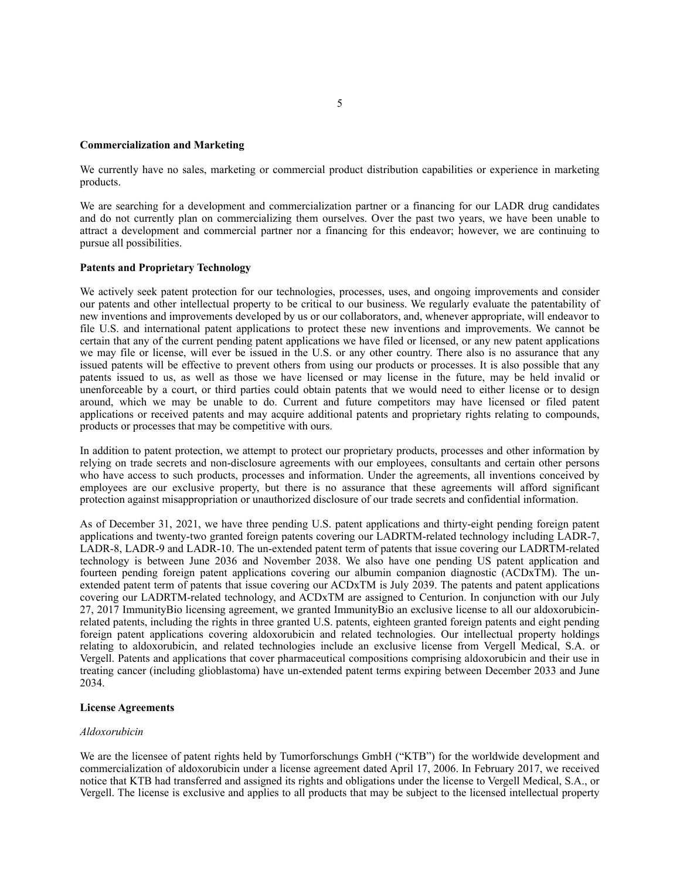### **Commercialization and Marketing**

We currently have no sales, marketing or commercial product distribution capabilities or experience in marketing products.

We are searching for a development and commercialization partner or a financing for our LADR drug candidates and do not currently plan on commercializing them ourselves. Over the past two years, we have been unable to attract a development and commercial partner nor a financing for this endeavor; however, we are continuing to pursue all possibilities.

#### **Patents and Proprietary Technology**

We actively seek patent protection for our technologies, processes, uses, and ongoing improvements and consider our patents and other intellectual property to be critical to our business. We regularly evaluate the patentability of new inventions and improvements developed by us or our collaborators, and, whenever appropriate, will endeavor to file U.S. and international patent applications to protect these new inventions and improvements. We cannot be certain that any of the current pending patent applications we have filed or licensed, or any new patent applications we may file or license, will ever be issued in the U.S. or any other country. There also is no assurance that any issued patents will be effective to prevent others from using our products or processes. It is also possible that any patents issued to us, as well as those we have licensed or may license in the future, may be held invalid or unenforceable by a court, or third parties could obtain patents that we would need to either license or to design around, which we may be unable to do. Current and future competitors may have licensed or filed patent applications or received patents and may acquire additional patents and proprietary rights relating to compounds, products or processes that may be competitive with ours.

In addition to patent protection, we attempt to protect our proprietary products, processes and other information by relying on trade secrets and non-disclosure agreements with our employees, consultants and certain other persons who have access to such products, processes and information. Under the agreements, all inventions conceived by employees are our exclusive property, but there is no assurance that these agreements will afford significant protection against misappropriation or unauthorized disclosure of our trade secrets and confidential information.

As of December 31, 2021, we have three pending U.S. patent applications and thirty-eight pending foreign patent applications and twenty-two granted foreign patents covering our LADRTM-related technology including LADR-7, LADR-8, LADR-9 and LADR-10. The un-extended patent term of patents that issue covering our LADRTM-related technology is between June 2036 and November 2038. We also have one pending US patent application and fourteen pending foreign patent applications covering our albumin companion diagnostic (ACDxTM). The unextended patent term of patents that issue covering our ACDxTM is July 2039. The patents and patent applications covering our LADRTM-related technology, and ACDxTM are assigned to Centurion. In conjunction with our July 27, 2017 ImmunityBio licensing agreement, we granted ImmunityBio an exclusive license to all our aldoxorubicinrelated patents, including the rights in three granted U.S. patents, eighteen granted foreign patents and eight pending foreign patent applications covering aldoxorubicin and related technologies. Our intellectual property holdings relating to aldoxorubicin, and related technologies include an exclusive license from Vergell Medical, S.A. or Vergell. Patents and applications that cover pharmaceutical compositions comprising aldoxorubicin and their use in treating cancer (including glioblastoma) have un-extended patent terms expiring between December 2033 and June 2034.

#### **License Agreements**

#### *Aldoxorubicin*

We are the licensee of patent rights held by Tumorforschungs GmbH ("KTB") for the worldwide development and commercialization of aldoxorubicin under a license agreement dated April 17, 2006. In February 2017, we received notice that KTB had transferred and assigned its rights and obligations under the license to Vergell Medical, S.A., or Vergell. The license is exclusive and applies to all products that may be subject to the licensed intellectual property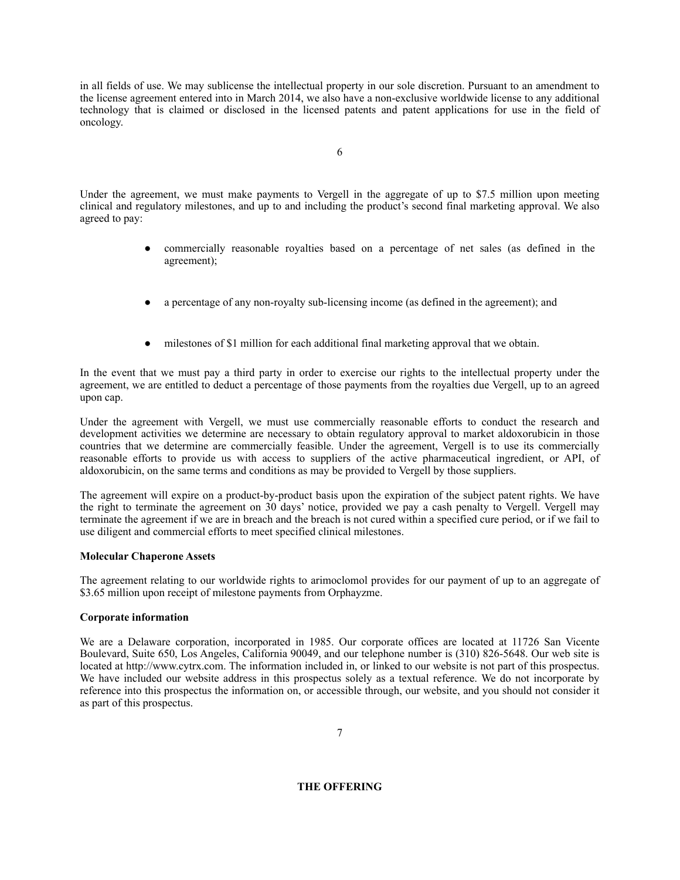in all fields of use. We may sublicense the intellectual property in our sole discretion. Pursuant to an amendment to the license agreement entered into in March 2014, we also have a non-exclusive worldwide license to any additional technology that is claimed or disclosed in the licensed patents and patent applications for use in the field of oncology.

Under the agreement, we must make payments to Vergell in the aggregate of up to \$7.5 million upon meeting clinical and regulatory milestones, and up to and including the product's second final marketing approval. We also agreed to pay:

- commercially reasonable royalties based on a percentage of net sales (as defined in the agreement);
- a percentage of any non-royalty sub-licensing income (as defined in the agreement); and
- milestones of \$1 million for each additional final marketing approval that we obtain.

In the event that we must pay a third party in order to exercise our rights to the intellectual property under the agreement, we are entitled to deduct a percentage of those payments from the royalties due Vergell, up to an agreed upon cap.

Under the agreement with Vergell, we must use commercially reasonable efforts to conduct the research and development activities we determine are necessary to obtain regulatory approval to market aldoxorubicin in those countries that we determine are commercially feasible. Under the agreement, Vergell is to use its commercially reasonable efforts to provide us with access to suppliers of the active pharmaceutical ingredient, or API, of aldoxorubicin, on the same terms and conditions as may be provided to Vergell by those suppliers.

The agreement will expire on a product-by-product basis upon the expiration of the subject patent rights. We have the right to terminate the agreement on 30 days' notice, provided we pay a cash penalty to Vergell. Vergell may terminate the agreement if we are in breach and the breach is not cured within a specified cure period, or if we fail to use diligent and commercial efforts to meet specified clinical milestones.

# **Molecular Chaperone Assets**

The agreement relating to our worldwide rights to arimoclomol provides for our payment of up to an aggregate of \$3.65 million upon receipt of milestone payments from Orphayzme.

# **Corporate information**

We are a Delaware corporation, incorporated in 1985. Our corporate offices are located at 11726 San Vicente Boulevard, Suite 650, Los Angeles, California 90049, and our telephone number is (310) 826-5648. Our web site is located at http://www.cytrx.com. The information included in, or linked to our website is not part of this prospectus. We have included our website address in this prospectus solely as a textual reference. We do not incorporate by reference into this prospectus the information on, or accessible through, our website, and you should not consider it as part of this prospectus.

# <span id="page-7-0"></span>**THE OFFERING**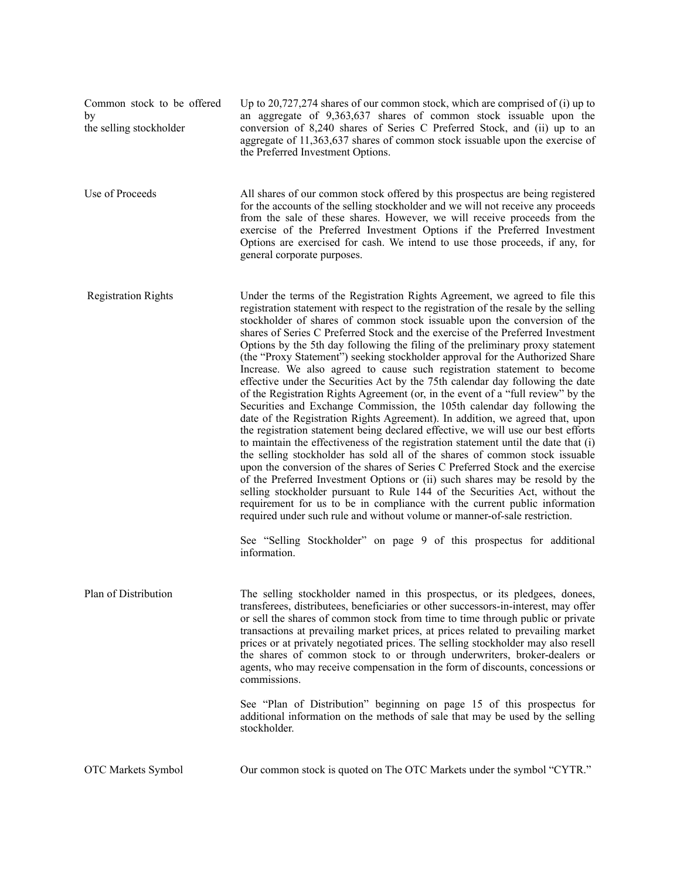| Common stock to be offered<br>by<br>the selling stockholder | Up to 20,727,274 shares of our common stock, which are comprised of (i) up to<br>an aggregate of 9,363,637 shares of common stock issuable upon the<br>conversion of 8,240 shares of Series C Preferred Stock, and (ii) up to an<br>aggregate of 11,363,637 shares of common stock is suable upon the exercise of<br>the Preferred Investment Options.                                                                                                                                                                                                                                                                                                                                                                                                                                                                                                                                                                                                                                                                                                                                                                                                                                                                                                                                                                                                                                                                                                                                                                                                                                                                                                                                 |
|-------------------------------------------------------------|----------------------------------------------------------------------------------------------------------------------------------------------------------------------------------------------------------------------------------------------------------------------------------------------------------------------------------------------------------------------------------------------------------------------------------------------------------------------------------------------------------------------------------------------------------------------------------------------------------------------------------------------------------------------------------------------------------------------------------------------------------------------------------------------------------------------------------------------------------------------------------------------------------------------------------------------------------------------------------------------------------------------------------------------------------------------------------------------------------------------------------------------------------------------------------------------------------------------------------------------------------------------------------------------------------------------------------------------------------------------------------------------------------------------------------------------------------------------------------------------------------------------------------------------------------------------------------------------------------------------------------------------------------------------------------------|
| Use of Proceeds                                             | All shares of our common stock offered by this prospectus are being registered<br>for the accounts of the selling stockholder and we will not receive any proceeds<br>from the sale of these shares. However, we will receive proceeds from the<br>exercise of the Preferred Investment Options if the Preferred Investment<br>Options are exercised for cash. We intend to use those proceeds, if any, for<br>general corporate purposes.                                                                                                                                                                                                                                                                                                                                                                                                                                                                                                                                                                                                                                                                                                                                                                                                                                                                                                                                                                                                                                                                                                                                                                                                                                             |
| <b>Registration Rights</b>                                  | Under the terms of the Registration Rights Agreement, we agreed to file this<br>registration statement with respect to the registration of the resale by the selling<br>stockholder of shares of common stock issuable upon the conversion of the<br>shares of Series C Preferred Stock and the exercise of the Preferred Investment<br>Options by the 5th day following the filing of the preliminary proxy statement<br>(the "Proxy Statement") seeking stockholder approval for the Authorized Share<br>Increase. We also agreed to cause such registration statement to become<br>effective under the Securities Act by the 75th calendar day following the date<br>of the Registration Rights Agreement (or, in the event of a "full review" by the<br>Securities and Exchange Commission, the 105th calendar day following the<br>date of the Registration Rights Agreement). In addition, we agreed that, upon<br>the registration statement being declared effective, we will use our best efforts<br>to maintain the effectiveness of the registration statement until the date that (i)<br>the selling stockholder has sold all of the shares of common stock issuable<br>upon the conversion of the shares of Series C Preferred Stock and the exercise<br>of the Preferred Investment Options or (ii) such shares may be resold by the<br>selling stockholder pursuant to Rule 144 of the Securities Act, without the<br>requirement for us to be in compliance with the current public information<br>required under such rule and without volume or manner-of-sale restriction.<br>See "Selling Stockholder" on page 9 of this prospectus for additional<br>information. |
| Plan of Distribution                                        | The selling stockholder named in this prospectus, or its pledgees, donees,<br>transferees, distributees, beneficiaries or other successors-in-interest, may offer<br>or sell the shares of common stock from time to time through public or private<br>transactions at prevailing market prices, at prices related to prevailing market<br>prices or at privately negotiated prices. The selling stockholder may also resell<br>the shares of common stock to or through underwriters, broker-dealers or<br>agents, who may receive compensation in the form of discounts, concessions or<br>commissions.<br>See "Plan of Distribution" beginning on page 15 of this prospectus for<br>additional information on the methods of sale that may be used by the selling<br>stockholder.                                                                                                                                                                                                                                                                                                                                                                                                                                                                                                                                                                                                                                                                                                                                                                                                                                                                                                   |
| OTC Markets Symbol                                          | Our common stock is quoted on The OTC Markets under the symbol "CYTR."                                                                                                                                                                                                                                                                                                                                                                                                                                                                                                                                                                                                                                                                                                                                                                                                                                                                                                                                                                                                                                                                                                                                                                                                                                                                                                                                                                                                                                                                                                                                                                                                                 |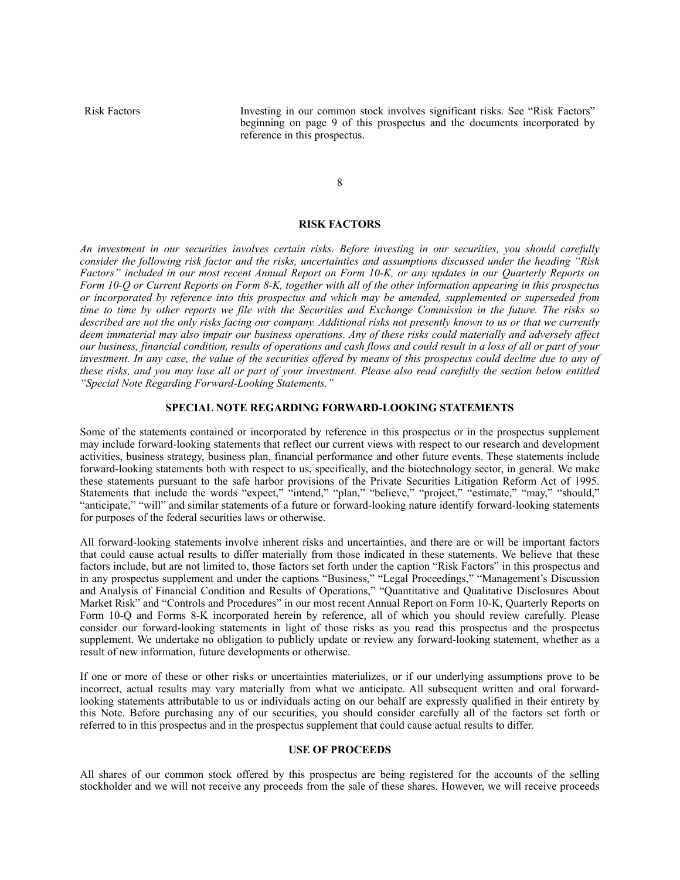Risk Factors Investing in our common stock involves significant risks. See "Risk Factors" beginning on page 9 of this prospectus and the documents incorporated by reference in this prospectus.

8

#### <span id="page-9-0"></span>**RISK FACTORS**

*An investment in our securities involves certain risks. Before investing in our securities, you should carefully consider the following risk factor and the risks, uncertainties and assumptions discussed under the heading "Risk Factors" included in our most recent Annual Report on Form 10-K, or any updates in our Quarterly Reports on Form 10-Q or Current Reports on Form 8-K, together with all of the other information appearing in this prospectus or incorporated by reference into this prospectus and which may be amended, supplemented or superseded from time to time by other reports we file with the Securities and Exchange Commission in the future. The risks so described are not the only risks facing our company. Additional risks not presently known to us or that we currently deem immaterial may also impair our business operations. Any of these risks could materially and adversely affect our business, financial condition, results of operations and cash flows and could result in a loss of all or part of your investment. In any case, the value of the securities offered by means of this prospectus could decline due to any of these risks, and you may lose all or part of your investment. Please also read carefully the section below entitled "Special Note Regarding Forward-Looking Statements."*

#### <span id="page-9-1"></span>**SPECIAL NOTE REGARDING FORWARD-LOOKING STATEMENTS**

Some of the statements contained or incorporated by reference in this prospectus or in the prospectus supplement may include forward-looking statements that reflect our current views with respect to our research and development activities, business strategy, business plan, financial performance and other future events. These statements include forward-looking statements both with respect to us, specifically, and the biotechnology sector, in general. We make these statements pursuant to the safe harbor provisions of the Private Securities Litigation Reform Act of 1995. Statements that include the words "expect," "intend," "plan," "believe," "project," "estimate," "may," "should," "anticipate," "will" and similar statements of a future or forward-looking nature identify forward-looking statements for purposes of the federal securities laws or otherwise.

All forward-looking statements involve inherent risks and uncertainties, and there are or will be important factors that could cause actual results to differ materially from those indicated in these statements. We believe that these factors include, but are not limited to, those factors set forth under the caption "Risk Factors" in this prospectus and in any prospectus supplement and under the captions "Business," "Legal Proceedings," "Management's Discussion and Analysis of Financial Condition and Results of Operations," "Quantitative and Qualitative Disclosures About Market Risk" and "Controls and Procedures" in our most recent Annual Report on Form 10-K, Quarterly Reports on Form 10-Q and Forms 8-K incorporated herein by reference, all of which you should review carefully. Please consider our forward-looking statements in light of those risks as you read this prospectus and the prospectus supplement. We undertake no obligation to publicly update or review any forward-looking statement, whether as a result of new information, future developments or otherwise.

If one or more of these or other risks or uncertainties materializes, or if our underlying assumptions prove to be incorrect, actual results may vary materially from what we anticipate. All subsequent written and oral forwardlooking statements attributable to us or individuals acting on our behalf are expressly qualified in their entirety by this Note. Before purchasing any of our securities, you should consider carefully all of the factors set forth or referred to in this prospectus and in the prospectus supplement that could cause actual results to differ.

# <span id="page-9-2"></span>**USE OF PROCEEDS**

All shares of our common stock offered by this prospectus are being registered for the accounts of the selling stockholder and we will not receive any proceeds from the sale of these shares. However, we will receive proceeds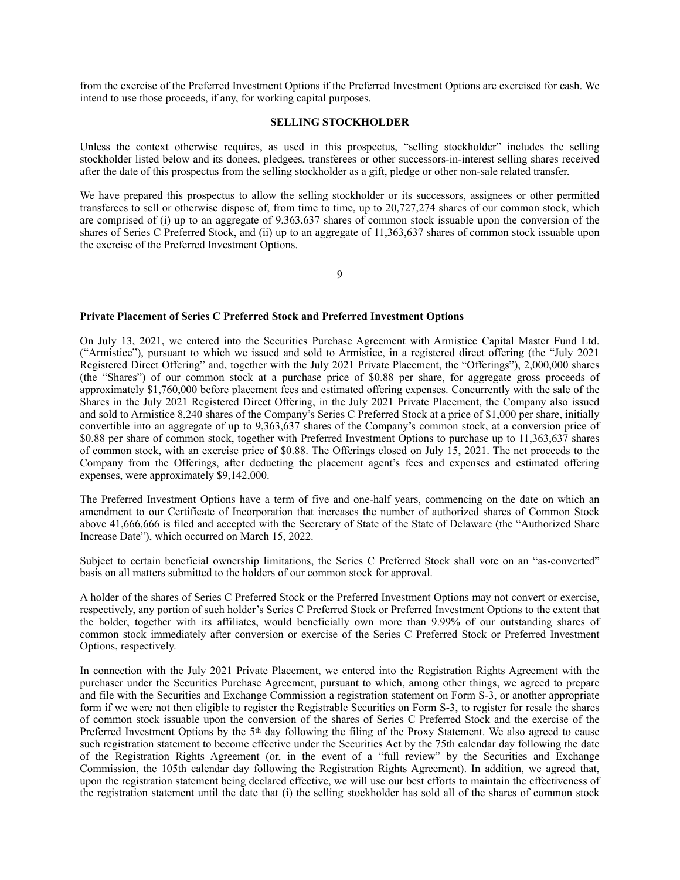from the exercise of the Preferred Investment Options if the Preferred Investment Options are exercised for cash. We intend to use those proceeds, if any, for working capital purposes.

### <span id="page-10-0"></span>**SELLING STOCKHOLDER**

Unless the context otherwise requires, as used in this prospectus, "selling stockholder" includes the selling stockholder listed below and its donees, pledgees, transferees or other successors-in-interest selling shares received after the date of this prospectus from the selling stockholder as a gift, pledge or other non-sale related transfer.

We have prepared this prospectus to allow the selling stockholder or its successors, assignees or other permitted transferees to sell or otherwise dispose of, from time to time, up to 20,727,274 shares of our common stock, which are comprised of (i) up to an aggregate of 9,363,637 shares of common stock issuable upon the conversion of the shares of Series C Preferred Stock, and (ii) up to an aggregate of 11,363,637 shares of common stock issuable upon the exercise of the Preferred Investment Options.

9

#### **Private Placement of Series C Preferred Stock and Preferred Investment Options**

On July 13, 2021, we entered into the Securities Purchase Agreement with Armistice Capital Master Fund Ltd. ("Armistice"), pursuant to which we issued and sold to Armistice, in a registered direct offering (the "July 2021 Registered Direct Offering" and, together with the July 2021 Private Placement, the "Offerings"), 2,000,000 shares (the "Shares") of our common stock at a purchase price of \$0.88 per share, for aggregate gross proceeds of approximately \$1,760,000 before placement fees and estimated offering expenses. Concurrently with the sale of the Shares in the July 2021 Registered Direct Offering, in the July 2021 Private Placement, the Company also issued and sold to Armistice 8,240 shares of the Company's Series C Preferred Stock at a price of \$1,000 per share, initially convertible into an aggregate of up to 9,363,637 shares of the Company's common stock, at a conversion price of \$0.88 per share of common stock, together with Preferred Investment Options to purchase up to 11,363,637 shares of common stock, with an exercise price of \$0.88. The Offerings closed on July 15, 2021. The net proceeds to the Company from the Offerings, after deducting the placement agent's fees and expenses and estimated offering expenses, were approximately \$9,142,000.

The Preferred Investment Options have a term of five and one-half years, commencing on the date on which an amendment to our Certificate of Incorporation that increases the number of authorized shares of Common Stock above 41,666,666 is filed and accepted with the Secretary of State of the State of Delaware (the "Authorized Share Increase Date"), which occurred on March 15, 2022.

Subject to certain beneficial ownership limitations, the Series C Preferred Stock shall vote on an "as-converted" basis on all matters submitted to the holders of our common stock for approval.

A holder of the shares of Series C Preferred Stock or the Preferred Investment Options may not convert or exercise, respectively, any portion of such holder's Series C Preferred Stock or Preferred Investment Options to the extent that the holder, together with its affiliates, would beneficially own more than 9.99% of our outstanding shares of common stock immediately after conversion or exercise of the Series C Preferred Stock or Preferred Investment Options, respectively.

In connection with the July 2021 Private Placement, we entered into the Registration Rights Agreement with the purchaser under the Securities Purchase Agreement, pursuant to which, among other things, we agreed to prepare and file with the Securities and Exchange Commission a registration statement on Form S-3, or another appropriate form if we were not then eligible to register the Registrable Securities on Form S-3, to register for resale the shares of common stock issuable upon the conversion of the shares of Series C Preferred Stock and the exercise of the Preferred Investment Options by the 5th day following the filing of the Proxy Statement. We also agreed to cause such registration statement to become effective under the Securities Act by the 75th calendar day following the date of the Registration Rights Agreement (or, in the event of a "full review" by the Securities and Exchange Commission, the 105th calendar day following the Registration Rights Agreement). In addition, we agreed that, upon the registration statement being declared effective, we will use our best efforts to maintain the effectiveness of the registration statement until the date that (i) the selling stockholder has sold all of the shares of common stock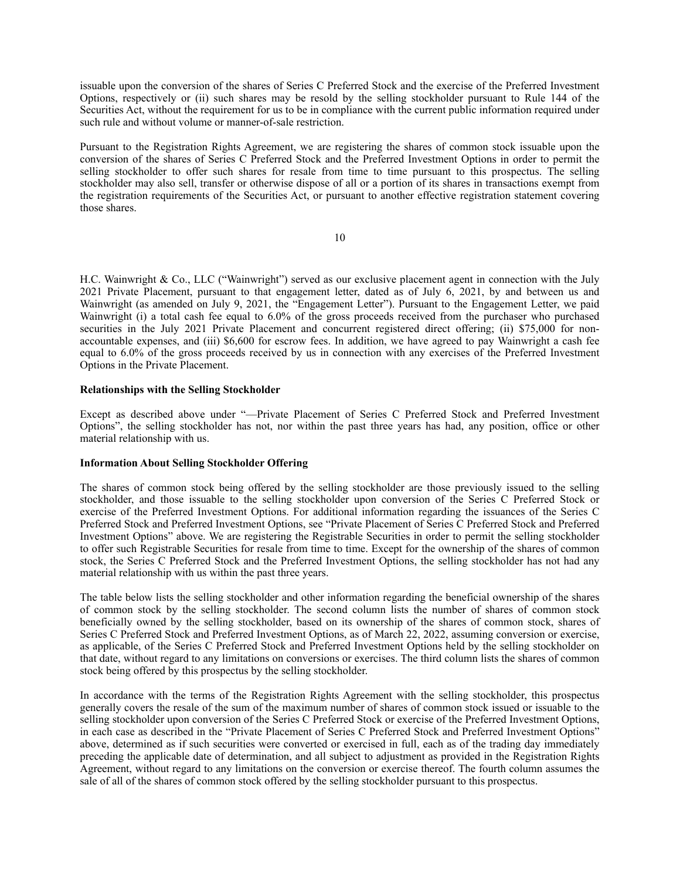issuable upon the conversion of the shares of Series C Preferred Stock and the exercise of the Preferred Investment Options, respectively or (ii) such shares may be resold by the selling stockholder pursuant to Rule 144 of the Securities Act, without the requirement for us to be in compliance with the current public information required under such rule and without volume or manner-of-sale restriction.

Pursuant to the Registration Rights Agreement, we are registering the shares of common stock issuable upon the conversion of the shares of Series C Preferred Stock and the Preferred Investment Options in order to permit the selling stockholder to offer such shares for resale from time to time pursuant to this prospectus. The selling stockholder may also sell, transfer or otherwise dispose of all or a portion of its shares in transactions exempt from the registration requirements of the Securities Act, or pursuant to another effective registration statement covering those shares.

10

H.C. Wainwright & Co., LLC ("Wainwright") served as our exclusive placement agent in connection with the July 2021 Private Placement, pursuant to that engagement letter, dated as of July 6, 2021, by and between us and Wainwright (as amended on July 9, 2021, the "Engagement Letter"). Pursuant to the Engagement Letter, we paid Wainwright (i) a total cash fee equal to 6.0% of the gross proceeds received from the purchaser who purchased securities in the July 2021 Private Placement and concurrent registered direct offering; (ii) \$75,000 for nonaccountable expenses, and (iii) \$6,600 for escrow fees. In addition, we have agreed to pay Wainwright a cash fee equal to 6.0% of the gross proceeds received by us in connection with any exercises of the Preferred Investment Options in the Private Placement.

# **Relationships with the Selling Stockholder**

Except as described above under "—Private Placement of Series C Preferred Stock and Preferred Investment Options", the selling stockholder has not, nor within the past three years has had, any position, office or other material relationship with us.

# **Information About Selling Stockholder Offering**

The shares of common stock being offered by the selling stockholder are those previously issued to the selling stockholder, and those issuable to the selling stockholder upon conversion of the Series C Preferred Stock or exercise of the Preferred Investment Options. For additional information regarding the issuances of the Series C Preferred Stock and Preferred Investment Options, see "Private Placement of Series C Preferred Stock and Preferred Investment Options" above. We are registering the Registrable Securities in order to permit the selling stockholder to offer such Registrable Securities for resale from time to time. Except for the ownership of the shares of common stock, the Series C Preferred Stock and the Preferred Investment Options, the selling stockholder has not had any material relationship with us within the past three years.

The table below lists the selling stockholder and other information regarding the beneficial ownership of the shares of common stock by the selling stockholder. The second column lists the number of shares of common stock beneficially owned by the selling stockholder, based on its ownership of the shares of common stock, shares of Series C Preferred Stock and Preferred Investment Options, as of March 22, 2022, assuming conversion or exercise, as applicable, of the Series C Preferred Stock and Preferred Investment Options held by the selling stockholder on that date, without regard to any limitations on conversions or exercises. The third column lists the shares of common stock being offered by this prospectus by the selling stockholder.

In accordance with the terms of the Registration Rights Agreement with the selling stockholder, this prospectus generally covers the resale of the sum of the maximum number of shares of common stock issued or issuable to the selling stockholder upon conversion of the Series C Preferred Stock or exercise of the Preferred Investment Options, in each case as described in the "Private Placement of Series C Preferred Stock and Preferred Investment Options" above, determined as if such securities were converted or exercised in full, each as of the trading day immediately preceding the applicable date of determination, and all subject to adjustment as provided in the Registration Rights Agreement, without regard to any limitations on the conversion or exercise thereof. The fourth column assumes the sale of all of the shares of common stock offered by the selling stockholder pursuant to this prospectus.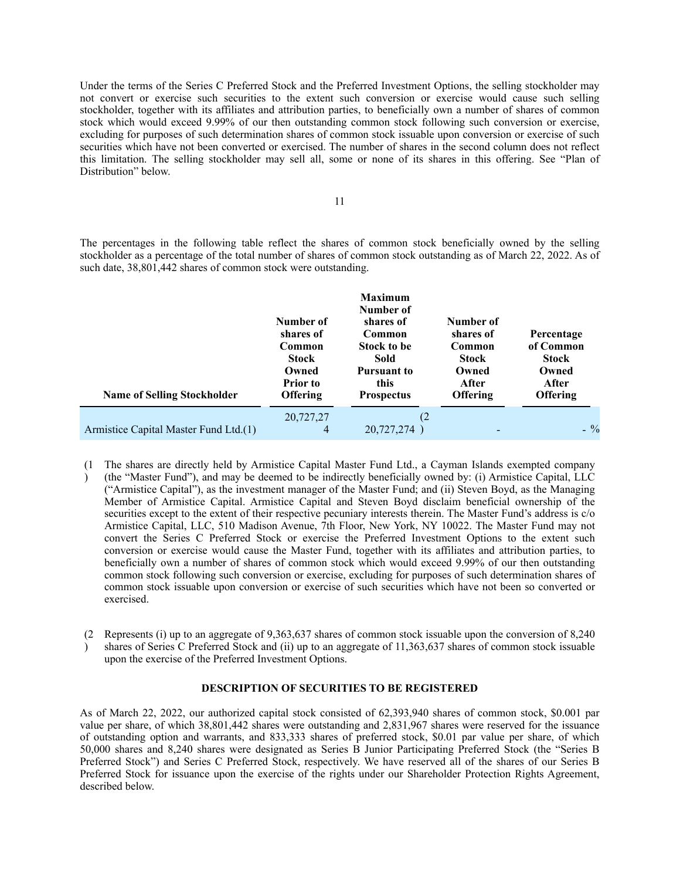Under the terms of the Series C Preferred Stock and the Preferred Investment Options, the selling stockholder may not convert or exercise such securities to the extent such conversion or exercise would cause such selling stockholder, together with its affiliates and attribution parties, to beneficially own a number of shares of common stock which would exceed 9.99% of our then outstanding common stock following such conversion or exercise, excluding for purposes of such determination shares of common stock issuable upon conversion or exercise of such securities which have not been converted or exercised. The number of shares in the second column does not reflect this limitation. The selling stockholder may sell all, some or none of its shares in this offering. See "Plan of Distribution" below.

The percentages in the following table reflect the shares of common stock beneficially owned by the selling stockholder as a percentage of the total number of shares of common stock outstanding as of March 22, 2022. As of such date, 38,801,442 shares of common stock were outstanding.

| <b>Name of Selling Stockholder</b>    | Number of<br>shares of<br>Common<br>Stock<br>Owned<br>Prior to<br><b>Offering</b> | <b>Maximum</b><br>Number of<br>shares of<br>Common<br>Stock to be<br>Sold<br><b>Pursuant to</b><br>this<br><b>Prospectus</b> | Number of<br>shares of<br>Common<br><b>Stock</b><br>Owned<br>After<br><b>Offering</b> | Percentage<br>of Common<br><b>Stock</b><br>Owned<br>After<br><b>Offering</b> |
|---------------------------------------|-----------------------------------------------------------------------------------|------------------------------------------------------------------------------------------------------------------------------|---------------------------------------------------------------------------------------|------------------------------------------------------------------------------|
| Armistice Capital Master Fund Ltd.(1) | 20,727,27<br>4                                                                    | (2)<br>20,727,274                                                                                                            | -                                                                                     | $-$ %                                                                        |

- (1 The shares are directly held by Armistice Capital Master Fund Ltd., a Cayman Islands exempted company  $\lambda$ (the "Master Fund"), and may be deemed to be indirectly beneficially owned by: (i) Armistice Capital, LLC ("Armistice Capital"), as the investment manager of the Master Fund; and (ii) Steven Boyd, as the Managing Member of Armistice Capital. Armistice Capital and Steven Boyd disclaim beneficial ownership of the securities except to the extent of their respective pecuniary interests therein. The Master Fund's address is c/o Armistice Capital, LLC, 510 Madison Avenue, 7th Floor, New York, NY 10022. The Master Fund may not convert the Series C Preferred Stock or exercise the Preferred Investment Options to the extent such conversion or exercise would cause the Master Fund, together with its affiliates and attribution parties, to beneficially own a number of shares of common stock which would exceed 9.99% of our then outstanding common stock following such conversion or exercise, excluding for purposes of such determination shares of common stock issuable upon conversion or exercise of such securities which have not been so converted or exercised.
- (2 Represents (i) up to an aggregate of 9,363,637 shares of common stock issuable upon the conversion of 8,240 ) shares of Series C Preferred Stock and (ii) up to an aggregate of 11,363,637 shares of common stock issuable upon the exercise of the Preferred Investment Options.

# <span id="page-12-0"></span>**DESCRIPTION OF SECURITIES TO BE REGISTERED**

As of March 22, 2022, our authorized capital stock consisted of 62,393,940 shares of common stock, \$0.001 par value per share, of which 38,801,442 shares were outstanding and 2,831,967 shares were reserved for the issuance of outstanding option and warrants, and 833,333 shares of preferred stock, \$0.01 par value per share, of which 50,000 shares and 8,240 shares were designated as Series B Junior Participating Preferred Stock (the "Series B Preferred Stock") and Series C Preferred Stock, respectively. We have reserved all of the shares of our Series B Preferred Stock for issuance upon the exercise of the rights under our Shareholder Protection Rights Agreement, described below.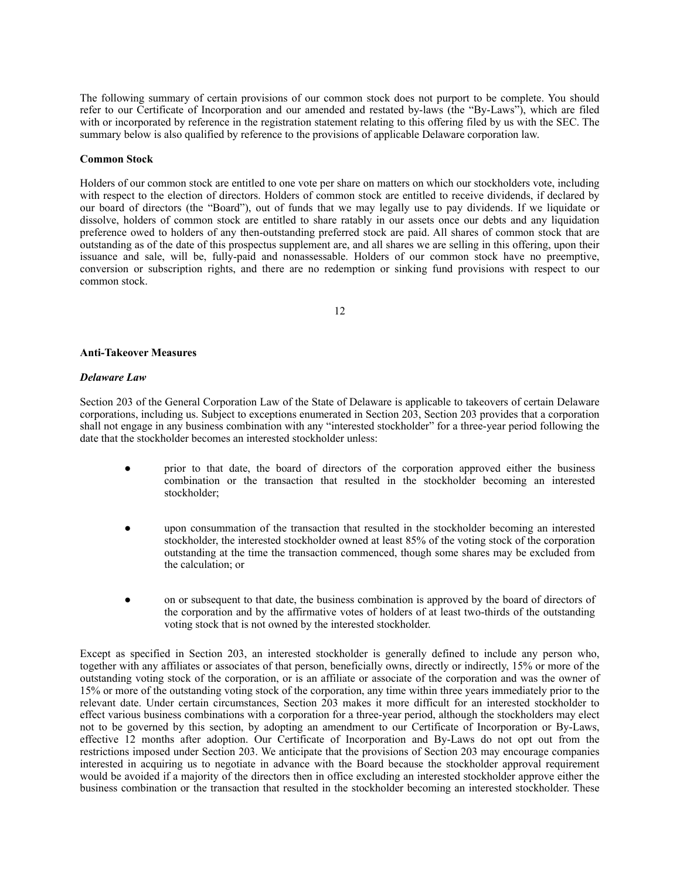The following summary of certain provisions of our common stock does not purport to be complete. You should refer to our Certificate of Incorporation and our amended and restated by-laws (the "By-Laws"), which are filed with or incorporated by reference in the registration statement relating to this offering filed by us with the SEC. The summary below is also qualified by reference to the provisions of applicable Delaware corporation law.

### **Common Stock**

Holders of our common stock are entitled to one vote per share on matters on which our stockholders vote, including with respect to the election of directors. Holders of common stock are entitled to receive dividends, if declared by our board of directors (the "Board"), out of funds that we may legally use to pay dividends. If we liquidate or dissolve, holders of common stock are entitled to share ratably in our assets once our debts and any liquidation preference owed to holders of any then-outstanding preferred stock are paid. All shares of common stock that are outstanding as of the date of this prospectus supplement are, and all shares we are selling in this offering, upon their issuance and sale, will be, fully-paid and nonassessable. Holders of our common stock have no preemptive, conversion or subscription rights, and there are no redemption or sinking fund provisions with respect to our common stock.

12

#### **Anti-Takeover Measures**

#### *Delaware Law*

Section 203 of the General Corporation Law of the State of Delaware is applicable to takeovers of certain Delaware corporations, including us. Subject to exceptions enumerated in Section 203, Section 203 provides that a corporation shall not engage in any business combination with any "interested stockholder" for a three-year period following the date that the stockholder becomes an interested stockholder unless:

- prior to that date, the board of directors of the corporation approved either the business combination or the transaction that resulted in the stockholder becoming an interested stockholder;
- upon consummation of the transaction that resulted in the stockholder becoming an interested stockholder, the interested stockholder owned at least 85% of the voting stock of the corporation outstanding at the time the transaction commenced, though some shares may be excluded from the calculation; or
- on or subsequent to that date, the business combination is approved by the board of directors of the corporation and by the affirmative votes of holders of at least two-thirds of the outstanding voting stock that is not owned by the interested stockholder.

Except as specified in Section 203, an interested stockholder is generally defined to include any person who, together with any affiliates or associates of that person, beneficially owns, directly or indirectly, 15% or more of the outstanding voting stock of the corporation, or is an affiliate or associate of the corporation and was the owner of 15% or more of the outstanding voting stock of the corporation, any time within three years immediately prior to the relevant date. Under certain circumstances, Section 203 makes it more difficult for an interested stockholder to effect various business combinations with a corporation for a three-year period, although the stockholders may elect not to be governed by this section, by adopting an amendment to our Certificate of Incorporation or By-Laws, effective 12 months after adoption. Our Certificate of Incorporation and By-Laws do not opt out from the restrictions imposed under Section 203. We anticipate that the provisions of Section 203 may encourage companies interested in acquiring us to negotiate in advance with the Board because the stockholder approval requirement would be avoided if a majority of the directors then in office excluding an interested stockholder approve either the business combination or the transaction that resulted in the stockholder becoming an interested stockholder. These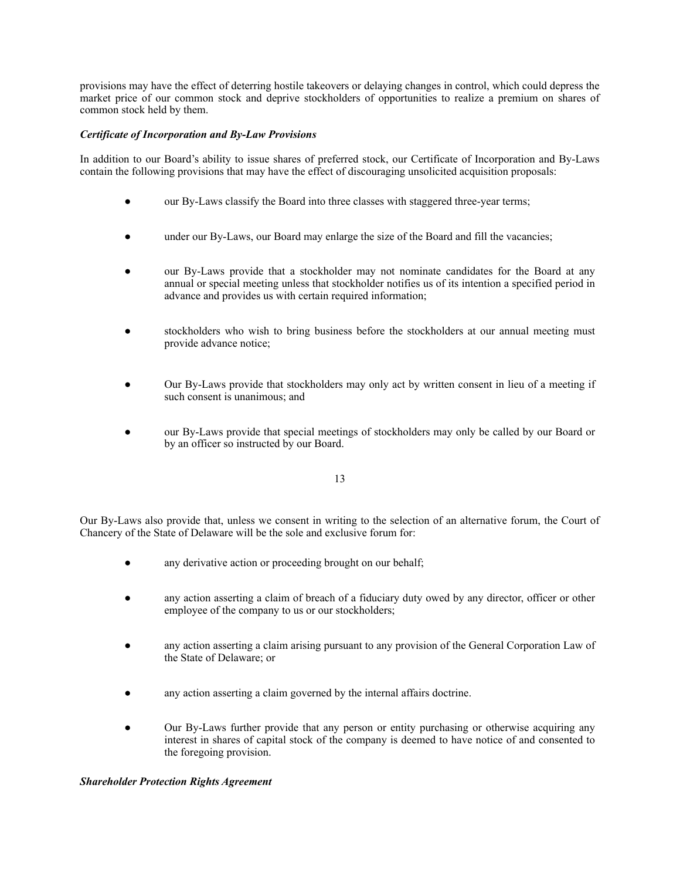provisions may have the effect of deterring hostile takeovers or delaying changes in control, which could depress the market price of our common stock and deprive stockholders of opportunities to realize a premium on shares of common stock held by them.

# *Certificate of Incorporation and By-Law Provisions*

In addition to our Board's ability to issue shares of preferred stock, our Certificate of Incorporation and By-Laws contain the following provisions that may have the effect of discouraging unsolicited acquisition proposals:

- our By-Laws classify the Board into three classes with staggered three-year terms;
- under our By-Laws, our Board may enlarge the size of the Board and fill the vacancies;
- our By-Laws provide that a stockholder may not nominate candidates for the Board at any annual or special meeting unless that stockholder notifies us of its intention a specified period in advance and provides us with certain required information;
- stockholders who wish to bring business before the stockholders at our annual meeting must provide advance notice;
- Our By-Laws provide that stockholders may only act by written consent in lieu of a meeting if such consent is unanimous; and
- our By-Laws provide that special meetings of stockholders may only be called by our Board or by an officer so instructed by our Board.

13

Our By-Laws also provide that, unless we consent in writing to the selection of an alternative forum, the Court of Chancery of the State of Delaware will be the sole and exclusive forum for:

- any derivative action or proceeding brought on our behalf;
- any action asserting a claim of breach of a fiduciary duty owed by any director, officer or other employee of the company to us or our stockholders;
- any action asserting a claim arising pursuant to any provision of the General Corporation Law of the State of Delaware; or
- any action asserting a claim governed by the internal affairs doctrine.
- Our By-Laws further provide that any person or entity purchasing or otherwise acquiring any interest in shares of capital stock of the company is deemed to have notice of and consented to the foregoing provision.

# *Shareholder Protection Rights Agreement*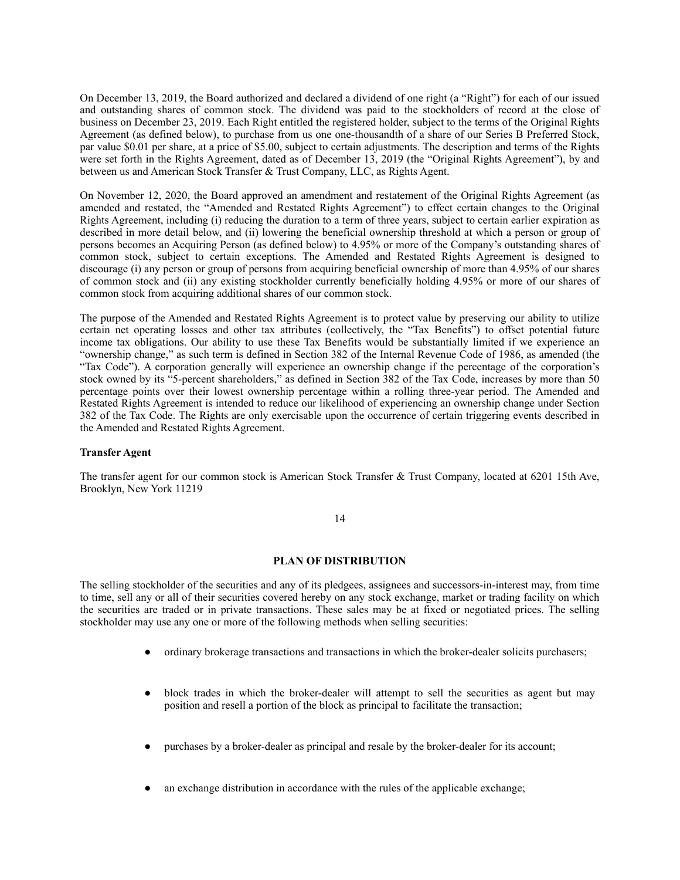On December 13, 2019, the Board authorized and declared a dividend of one right (a "Right") for each of our issued and outstanding shares of common stock. The dividend was paid to the stockholders of record at the close of business on December 23, 2019. Each Right entitled the registered holder, subject to the terms of the Original Rights Agreement (as defined below), to purchase from us one one-thousandth of a share of our Series B Preferred Stock, par value \$0.01 per share, at a price of \$5.00, subject to certain adjustments. The description and terms of the Rights were set forth in the Rights Agreement, dated as of December 13, 2019 (the "Original Rights Agreement"), by and between us and American Stock Transfer & Trust Company, LLC, as Rights Agent.

On November 12, 2020, the Board approved an amendment and restatement of the Original Rights Agreement (as amended and restated, the "Amended and Restated Rights Agreement") to effect certain changes to the Original Rights Agreement, including (i) reducing the duration to a term of three years, subject to certain earlier expiration as described in more detail below, and (ii) lowering the beneficial ownership threshold at which a person or group of persons becomes an Acquiring Person (as defined below) to 4.95% or more of the Company's outstanding shares of common stock, subject to certain exceptions. The Amended and Restated Rights Agreement is designed to discourage (i) any person or group of persons from acquiring beneficial ownership of more than 4.95% of our shares of common stock and (ii) any existing stockholder currently beneficially holding 4.95% or more of our shares of common stock from acquiring additional shares of our common stock.

The purpose of the Amended and Restated Rights Agreement is to protect value by preserving our ability to utilize certain net operating losses and other tax attributes (collectively, the "Tax Benefits") to offset potential future income tax obligations. Our ability to use these Tax Benefits would be substantially limited if we experience an "ownership change," as such term is defined in Section 382 of the Internal Revenue Code of 1986, as amended (the "Tax Code"). A corporation generally will experience an ownership change if the percentage of the corporation's stock owned by its "5-percent shareholders," as defined in Section 382 of the Tax Code, increases by more than 50 percentage points over their lowest ownership percentage within a rolling three-year period. The Amended and Restated Rights Agreement is intended to reduce our likelihood of experiencing an ownership change under Section 382 of the Tax Code. The Rights are only exercisable upon the occurrence of certain triggering events described in the Amended and Restated Rights Agreement.

# **Transfer Agent**

The transfer agent for our common stock is American Stock Transfer & Trust Company, located at 6201 15th Ave, Brooklyn, New York 11219

# 14

# <span id="page-15-0"></span>**PLAN OF DISTRIBUTION**

The selling stockholder of the securities and any of its pledgees, assignees and successors-in-interest may, from time to time, sell any or all of their securities covered hereby on any stock exchange, market or trading facility on which the securities are traded or in private transactions. These sales may be at fixed or negotiated prices. The selling stockholder may use any one or more of the following methods when selling securities:

- ordinary brokerage transactions and transactions in which the broker-dealer solicits purchasers;
- block trades in which the broker-dealer will attempt to sell the securities as agent but may position and resell a portion of the block as principal to facilitate the transaction;
- purchases by a broker-dealer as principal and resale by the broker-dealer for its account;
- an exchange distribution in accordance with the rules of the applicable exchange;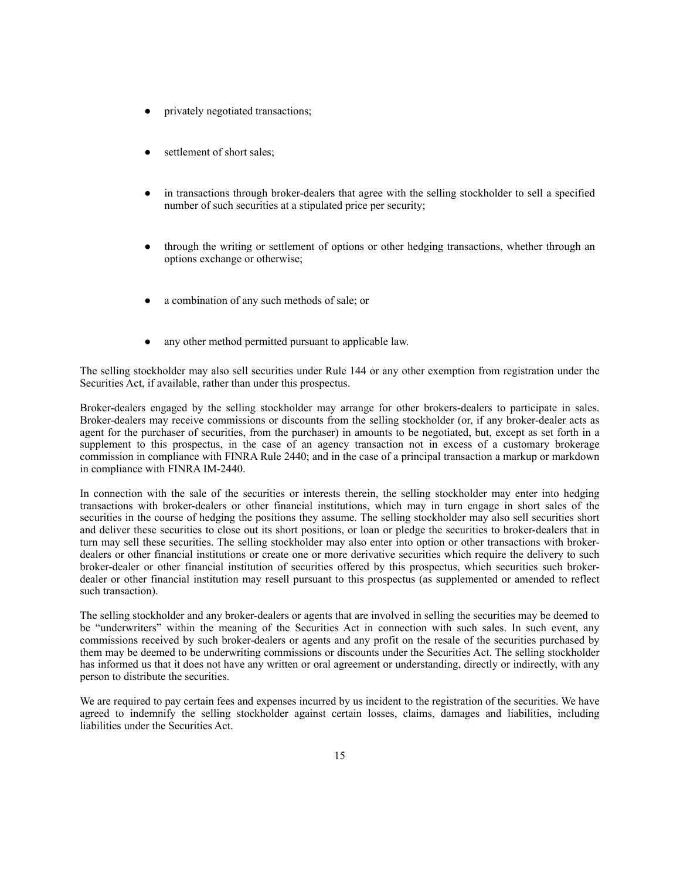- privately negotiated transactions;
- settlement of short sales;
- in transactions through broker-dealers that agree with the selling stockholder to sell a specified number of such securities at a stipulated price per security;
- through the writing or settlement of options or other hedging transactions, whether through an options exchange or otherwise;
- a combination of any such methods of sale; or
- any other method permitted pursuant to applicable law.

The selling stockholder may also sell securities under Rule 144 or any other exemption from registration under the Securities Act, if available, rather than under this prospectus.

Broker-dealers engaged by the selling stockholder may arrange for other brokers-dealers to participate in sales. Broker-dealers may receive commissions or discounts from the selling stockholder (or, if any broker-dealer acts as agent for the purchaser of securities, from the purchaser) in amounts to be negotiated, but, except as set forth in a supplement to this prospectus, in the case of an agency transaction not in excess of a customary brokerage commission in compliance with FINRA Rule 2440; and in the case of a principal transaction a markup or markdown in compliance with FINRA IM-2440.

In connection with the sale of the securities or interests therein, the selling stockholder may enter into hedging transactions with broker-dealers or other financial institutions, which may in turn engage in short sales of the securities in the course of hedging the positions they assume. The selling stockholder may also sell securities short and deliver these securities to close out its short positions, or loan or pledge the securities to broker-dealers that in turn may sell these securities. The selling stockholder may also enter into option or other transactions with brokerdealers or other financial institutions or create one or more derivative securities which require the delivery to such broker-dealer or other financial institution of securities offered by this prospectus, which securities such brokerdealer or other financial institution may resell pursuant to this prospectus (as supplemented or amended to reflect such transaction).

The selling stockholder and any broker-dealers or agents that are involved in selling the securities may be deemed to be "underwriters" within the meaning of the Securities Act in connection with such sales. In such event, any commissions received by such broker-dealers or agents and any profit on the resale of the securities purchased by them may be deemed to be underwriting commissions or discounts under the Securities Act. The selling stockholder has informed us that it does not have any written or oral agreement or understanding, directly or indirectly, with any person to distribute the securities.

We are required to pay certain fees and expenses incurred by us incident to the registration of the securities. We have agreed to indemnify the selling stockholder against certain losses, claims, damages and liabilities, including liabilities under the Securities Act.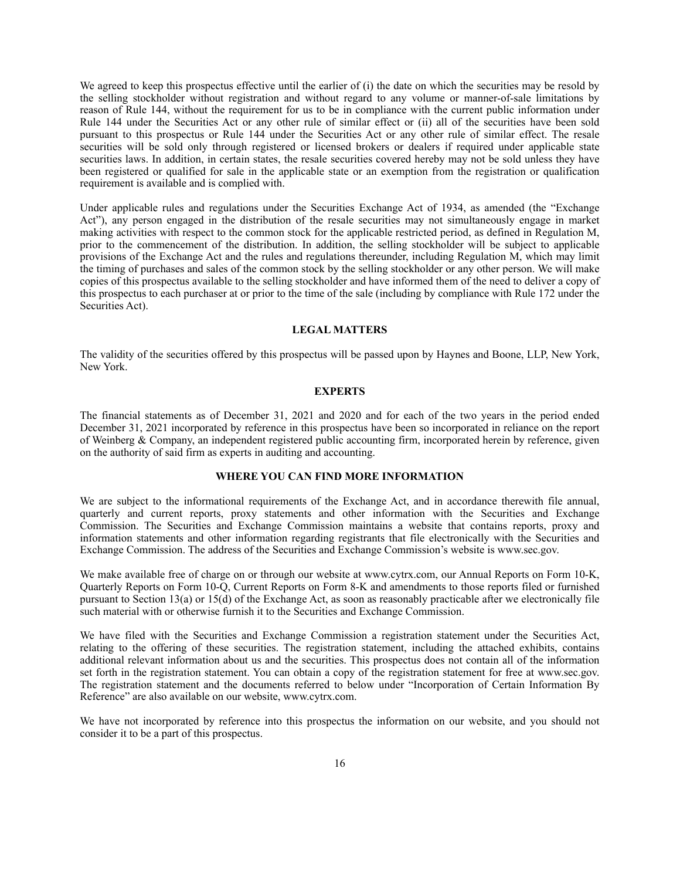We agreed to keep this prospectus effective until the earlier of (i) the date on which the securities may be resold by the selling stockholder without registration and without regard to any volume or manner-of-sale limitations by reason of Rule 144, without the requirement for us to be in compliance with the current public information under Rule 144 under the Securities Act or any other rule of similar effect or (ii) all of the securities have been sold pursuant to this prospectus or Rule 144 under the Securities Act or any other rule of similar effect. The resale securities will be sold only through registered or licensed brokers or dealers if required under applicable state securities laws. In addition, in certain states, the resale securities covered hereby may not be sold unless they have been registered or qualified for sale in the applicable state or an exemption from the registration or qualification requirement is available and is complied with.

Under applicable rules and regulations under the Securities Exchange Act of 1934, as amended (the "Exchange Act"), any person engaged in the distribution of the resale securities may not simultaneously engage in market making activities with respect to the common stock for the applicable restricted period, as defined in Regulation M, prior to the commencement of the distribution. In addition, the selling stockholder will be subject to applicable provisions of the Exchange Act and the rules and regulations thereunder, including Regulation M, which may limit the timing of purchases and sales of the common stock by the selling stockholder or any other person. We will make copies of this prospectus available to the selling stockholder and have informed them of the need to deliver a copy of this prospectus to each purchaser at or prior to the time of the sale (including by compliance with Rule 172 under the Securities Act).

# <span id="page-17-0"></span>**LEGAL MATTERS**

The validity of the securities offered by this prospectus will be passed upon by Haynes and Boone, LLP, New York, New York.

# <span id="page-17-1"></span>**EXPERTS**

The financial statements as of December 31, 2021 and 2020 and for each of the two years in the period ended December 31, 2021 incorporated by reference in this prospectus have been so incorporated in reliance on the report of Weinberg & Company, an independent registered public accounting firm, incorporated herein by reference, given on the authority of said firm as experts in auditing and accounting.

# <span id="page-17-2"></span>**WHERE YOU CAN FIND MORE INFORMATION**

We are subject to the informational requirements of the Exchange Act, and in accordance therewith file annual, quarterly and current reports, proxy statements and other information with the Securities and Exchange Commission. The Securities and Exchange Commission maintains a website that contains reports, proxy and information statements and other information regarding registrants that file electronically with the Securities and Exchange Commission. The address of the Securities and Exchange Commission's website is www.sec.gov.

We make available free of charge on or through our website at www.cytrx.com, our Annual Reports on Form 10-K, Quarterly Reports on Form 10-Q, Current Reports on Form 8-K and amendments to those reports filed or furnished pursuant to Section 13(a) or 15(d) of the Exchange Act, as soon as reasonably practicable after we electronically file such material with or otherwise furnish it to the Securities and Exchange Commission.

We have filed with the Securities and Exchange Commission a registration statement under the Securities Act, relating to the offering of these securities. The registration statement, including the attached exhibits, contains additional relevant information about us and the securities. This prospectus does not contain all of the information set forth in the registration statement. You can obtain a copy of the registration statement for free at www.sec.gov. The registration statement and the documents referred to below under "Incorporation of Certain Information By Reference" are also available on our website, www.cytrx.com.

We have not incorporated by reference into this prospectus the information on our website, and you should not consider it to be a part of this prospectus.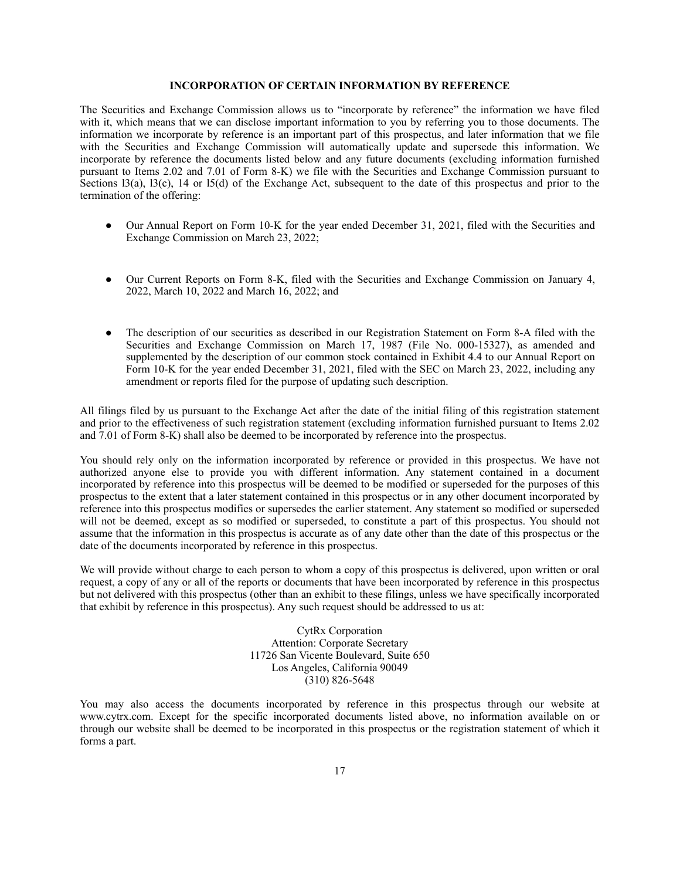# <span id="page-18-0"></span>**INCORPORATION OF CERTAIN INFORMATION BY REFERENCE**

The Securities and Exchange Commission allows us to "incorporate by reference" the information we have filed with it, which means that we can disclose important information to you by referring you to those documents. The information we incorporate by reference is an important part of this prospectus, and later information that we file with the Securities and Exchange Commission will automatically update and supersede this information. We incorporate by reference the documents listed below and any future documents (excluding information furnished pursuant to Items 2.02 and 7.01 of Form 8-K) we file with the Securities and Exchange Commission pursuant to Sections l3(a), l3(c), 14 or l5(d) of the Exchange Act, subsequent to the date of this prospectus and prior to the termination of the offering:

- Our Annual Report on Form 10-K for the year ended December 31, 2021, filed with the Securities and Exchange Commission on March 23, 2022;
- Our Current Reports on Form 8-K, filed with the Securities and Exchange Commission on January 4, 2022, March 10, 2022 and March 16, 2022; and
- The description of our securities as described in our Registration Statement on Form 8-A filed with the Securities and Exchange Commission on March 17, 1987 (File No. 000-15327), as amended and supplemented by the description of our common stock contained in Exhibit 4.4 to our Annual Report on Form 10-K for the year ended December 31, 2021, filed with the SEC on March 23, 2022, including any amendment or reports filed for the purpose of updating such description.

All filings filed by us pursuant to the Exchange Act after the date of the initial filing of this registration statement and prior to the effectiveness of such registration statement (excluding information furnished pursuant to Items 2.02 and 7.01 of Form 8-K) shall also be deemed to be incorporated by reference into the prospectus.

You should rely only on the information incorporated by reference or provided in this prospectus. We have not authorized anyone else to provide you with different information. Any statement contained in a document incorporated by reference into this prospectus will be deemed to be modified or superseded for the purposes of this prospectus to the extent that a later statement contained in this prospectus or in any other document incorporated by reference into this prospectus modifies or supersedes the earlier statement. Any statement so modified or superseded will not be deemed, except as so modified or superseded, to constitute a part of this prospectus. You should not assume that the information in this prospectus is accurate as of any date other than the date of this prospectus or the date of the documents incorporated by reference in this prospectus.

We will provide without charge to each person to whom a copy of this prospectus is delivered, upon written or oral request, a copy of any or all of the reports or documents that have been incorporated by reference in this prospectus but not delivered with this prospectus (other than an exhibit to these filings, unless we have specifically incorporated that exhibit by reference in this prospectus). Any such request should be addressed to us at:

> CytRx Corporation Attention: Corporate Secretary 11726 San Vicente Boulevard, Suite 650 Los Angeles, California 90049 (310) 826-5648

You may also access the documents incorporated by reference in this prospectus through our website at www.cytrx.com. Except for the specific incorporated documents listed above, no information available on or through our website shall be deemed to be incorporated in this prospectus or the registration statement of which it forms a part.